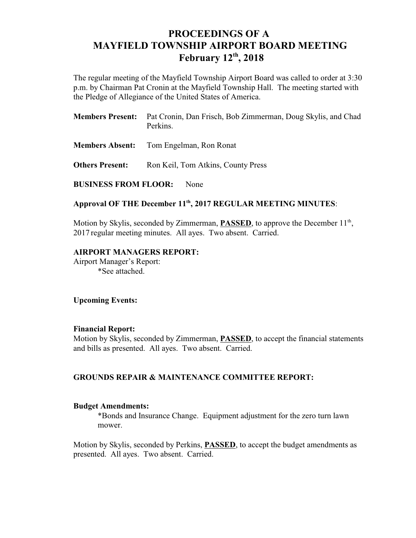# **PROCEEDINGS OF A MAYFIELD TOWNSHIP AIRPORT BOARD MEETING February 12<sup>th</sup>, 2018**

The regular meeting of the Mayfield Township Airport Board was called to order at 3:30 p.m. by Chairman Pat Cronin at the Mayfield Township Hall. The meeting started with the Pledge of Allegiance of the United States of America.

| <b>Members Present:</b> Pat Cronin, Dan Frisch, Bob Zimmerman, Doug Skylis, and Chad |  |  |
|--------------------------------------------------------------------------------------|--|--|
| Perkins.                                                                             |  |  |

- **Members Absent:** Tom Engelman, Ron Ronat
- **Others Present:** Ron Keil, Tom Atkins, County Press

**BUSINESS FROM FLOOR:** None

## Approval OF THE December 11<sup>th</sup>, 2017 REGULAR MEETING MINUTES:

Motion by Skylis, seconded by Zimmerman, **PASSED**, to approve the December 11<sup>th</sup>, 2017 regular meeting minutes. All ayes. Two absent. Carried.

## **AIRPORT MANAGERS REPORT:**

Airport Manager's Report: \*See attached.

**Upcoming Events:**

#### **Financial Report:**

Motion by Skylis, seconded by Zimmerman, **PASSED**, to accept the financial statements and bills as presented. All ayes. Two absent. Carried.

## **GROUNDS REPAIR & MAINTENANCE COMMITTEE REPORT:**

#### **Budget Amendments:**

\*Bonds and Insurance Change. Equipment adjustment for the zero turn lawn mower.

Motion by Skylis, seconded by Perkins, **PASSED**, to accept the budget amendments as presented. All ayes. Two absent. Carried.